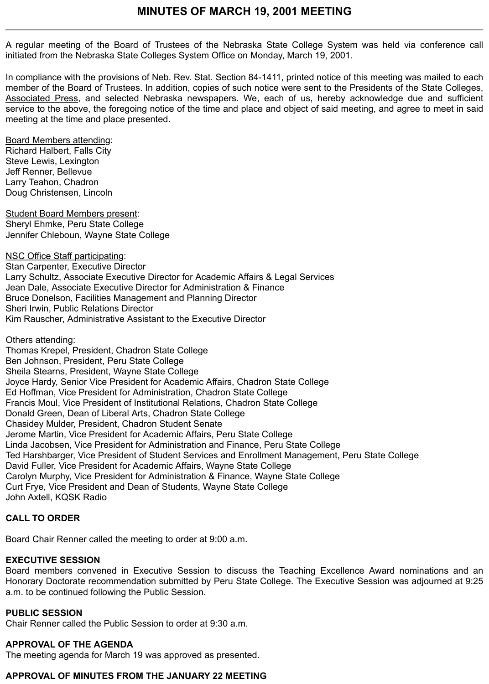A regular meeting of the Board of Trustees of the Nebraska State College System was held via conference call initiated from the Nebraska State Colleges System Office on Monday, March 19, 2001.

In compliance with the provisions of Neb. Rev. Stat. Section 84-1411, printed notice of this meeting was mailed to each member of the Board of Trustees. In addition, copies of such notice were sent to the Presidents of the State Colleges, Associated Press, and selected Nebraska newspapers. We, each of us, hereby acknowledge due and sufficient service to the above, the foregoing notice of the time and place and object of said meeting, and agree to meet in said meeting at the time and place presented.

Board Members attending: Richard Halbert, Falls City Steve Lewis, Lexington Jeff Renner, Bellevue Larry Teahon, Chadron Doug Christensen, Lincoln

Student Board Members present: Sheryl Ehmke, Peru State College Jennifer Chleboun, Wayne State College

NSC Office Staff participating:

Stan Carpenter, Executive Director Larry Schultz, Associate Executive Director for Academic Affairs & Legal Services Jean Dale, Associate Executive Director for Administration & Finance Bruce Donelson, Facilities Management and Planning Director Sheri Irwin, Public Relations Director Kim Rauscher, Administrative Assistant to the Executive Director

Others attending:

Thomas Krepel, President, Chadron State College Ben Johnson, President, Peru State College Sheila Stearns, President, Wayne State College Joyce Hardy, Senior Vice President for Academic Affairs, Chadron State College Ed Hoffman, Vice President for Administration, Chadron State College Francis Moul, Vice President of Institutional Relations, Chadron State College Donald Green, Dean of Liberal Arts, Chadron State College Chasidey Mulder, President, Chadron Student Senate Jerome Martin, Vice President for Academic Affairs, Peru State College Linda Jacobsen, Vice President for Administration and Finance, Peru State College Ted Harshbarger, Vice President of Student Services and Enrollment Management, Peru State College David Fuller, Vice President for Academic Affairs, Wayne State College Carolyn Murphy, Vice President for Administration & Finance, Wayne State College Curt Frye, Vice President and Dean of Students, Wayne State College John Axtell, KQSK Radio

### **CALL TO ORDER**

Board Chair Renner called the meeting to order at 9:00 a.m.

### **EXECUTIVE SESSION**

Board members convened in Executive Session to discuss the Teaching Excellence Award nominations and an Honorary Doctorate recommendation submitted by Peru State College. The Executive Session was adjourned at 9:25 a.m. to be continued following the Public Session.

### **PUBLIC SESSION**

Chair Renner called the Public Session to order at 9:30 a.m.

## **APPROVAL OF THE AGENDA**

The meeting agenda for March 19 was approved as presented.

## **APPROVAL OF MINUTES FROM THE JANUARY 22 MEETING**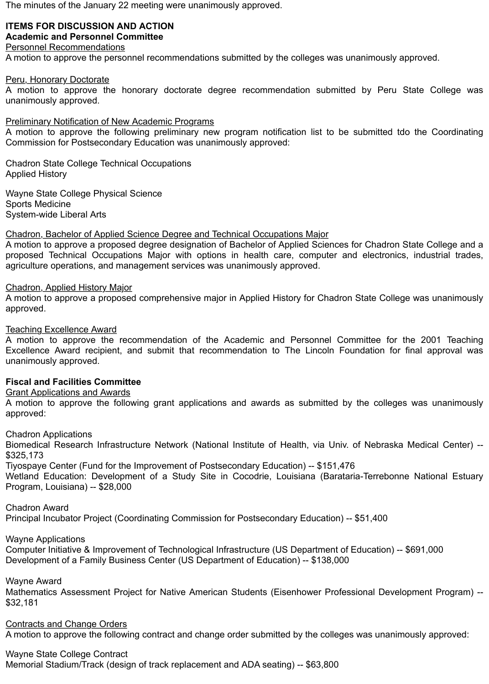The minutes of the January 22 meeting were unanimously approved.

### **ITEMS FOR DISCUSSION AND ACTION Academic and Personnel Committee**

### Personnel Recommendations

A motion to approve the personnel recommendations submitted by the colleges was unanimously approved.

### Peru, Honorary Doctorate

A motion to approve the honorary doctorate degree recommendation submitted by Peru State College was unanimously approved.

### Preliminary Notification of New Academic Programs

A motion to approve the following preliminary new program notification list to be submitted tdo the Coordinating Commission for Postsecondary Education was unanimously approved:

Chadron State College Technical Occupations Applied History

Wayne State College Physical Science Sports Medicine System-wide Liberal Arts

### Chadron, Bachelor of Applied Science Degree and Technical Occupations Major

A motion to approve a proposed degree designation of Bachelor of Applied Sciences for Chadron State College and a proposed Technical Occupations Major with options in health care, computer and electronics, industrial trades, agriculture operations, and management services was unanimously approved.

### Chadron, Applied History Major

A motion to approve a proposed comprehensive major in Applied History for Chadron State College was unanimously approved.

### Teaching Excellence Award

A motion to approve the recommendation of the Academic and Personnel Committee for the 2001 Teaching Excellence Award recipient, and submit that recommendation to The Lincoln Foundation for final approval was unanimously approved.

### **Fiscal and Facilities Committee**

### Grant Applications and Awards

A motion to approve the following grant applications and awards as submitted by the colleges was unanimously approved:

Chadron Applications

Biomedical Research Infrastructure Network (National Institute of Health, via Univ. of Nebraska Medical Center) -- \$325,173

Tiyospaye Center (Fund for the Improvement of Postsecondary Education) -- \$151,476

Wetland Education: Development of a Study Site in Cocodrie, Louisiana (Barataria-Terrebonne National Estuary Program, Louisiana) -- \$28,000

Chadron Award

Principal Incubator Project (Coordinating Commission for Postsecondary Education) -- \$51,400

Wayne Applications

Computer Initiative & Improvement of Technological Infrastructure (US Department of Education) -- \$691,000 Development of a Family Business Center (US Department of Education) -- \$138,000

### Wayne Award

Mathematics Assessment Project for Native American Students (Eisenhower Professional Development Program) -- \$32,181

Contracts and Change Orders

A motion to approve the following contract and change order submitted by the colleges was unanimously approved:

### Wayne State College Contract

Memorial Stadium/Track (design of track replacement and ADA seating) -- \$63,800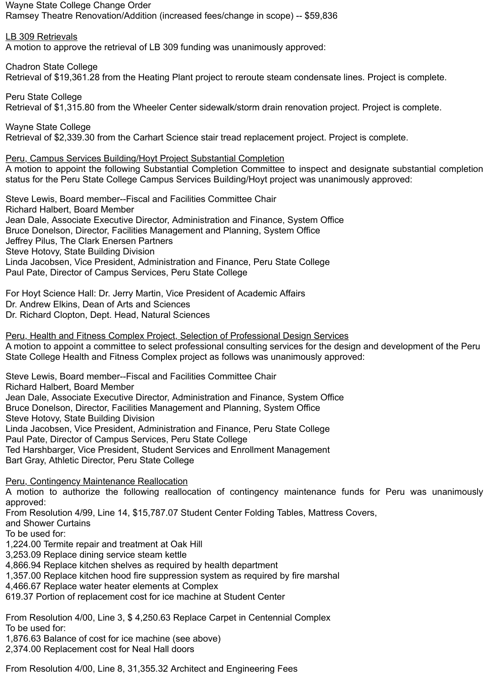Wayne State College Change Order Ramsey Theatre Renovation/Addition (increased fees/change in scope) -- \$59,836

LB 309 Retrievals A motion to approve the retrieval of LB 309 funding was unanimously approved:

Chadron State College Retrieval of \$19,361.28 from the Heating Plant project to reroute steam condensate lines. Project is complete.

Peru State College Retrieval of \$1,315.80 from the Wheeler Center sidewalk/storm drain renovation project. Project is complete.

Wayne State College Retrieval of \$2,339.30 from the Carhart Science stair tread replacement project. Project is complete.

Peru, Campus Services Building/Hoyt Project Substantial Completion

A motion to appoint the following Substantial Completion Committee to inspect and designate substantial completion status for the Peru State College Campus Services Building/Hoyt project was unanimously approved:

Steve Lewis, Board member--Fiscal and Facilities Committee Chair Richard Halbert, Board Member Jean Dale, Associate Executive Director, Administration and Finance, System Office Bruce Donelson, Director, Facilities Management and Planning, System Office Jeffrey Pilus, The Clark Enersen Partners Steve Hotovy, State Building Division Linda Jacobsen, Vice President, Administration and Finance, Peru State College Paul Pate, Director of Campus Services, Peru State College

For Hoyt Science Hall: Dr. Jerry Martin, Vice President of Academic Affairs Dr. Andrew Elkins, Dean of Arts and Sciences Dr. Richard Clopton, Dept. Head, Natural Sciences

Peru, Health and Fitness Complex Project, Selection of Professional Design Services A motion to appoint a committee to select professional consulting services for the design and development of the Peru State College Health and Fitness Complex project as follows was unanimously approved:

Steve Lewis, Board member--Fiscal and Facilities Committee Chair Richard Halbert, Board Member Jean Dale, Associate Executive Director, Administration and Finance, System Office Bruce Donelson, Director, Facilities Management and Planning, System Office Steve Hotovy, State Building Division Linda Jacobsen, Vice President, Administration and Finance, Peru State College Paul Pate, Director of Campus Services, Peru State College Ted Harshbarger, Vice President, Student Services and Enrollment Management Bart Gray, Athletic Director, Peru State College

Peru, Contingency Maintenance Reallocation

A motion to authorize the following reallocation of contingency maintenance funds for Peru was unanimously approved:

From Resolution 4/99, Line 14, \$15,787.07 Student Center Folding Tables, Mattress Covers,

and Shower Curtains

To be used for:

1,224.00 Termite repair and treatment at Oak Hill

3,253.09 Replace dining service steam kettle

4,866.94 Replace kitchen shelves as required by health department

1,357.00 Replace kitchen hood fire suppression system as required by fire marshal

4,466.67 Replace water heater elements at Complex

619.37 Portion of replacement cost for ice machine at Student Center

From Resolution 4/00, Line 3, \$ 4,250.63 Replace Carpet in Centennial Complex To be used for:

1,876.63 Balance of cost for ice machine (see above)

2,374.00 Replacement cost for Neal Hall doors

From Resolution 4/00, Line 8, 31,355.32 Architect and Engineering Fees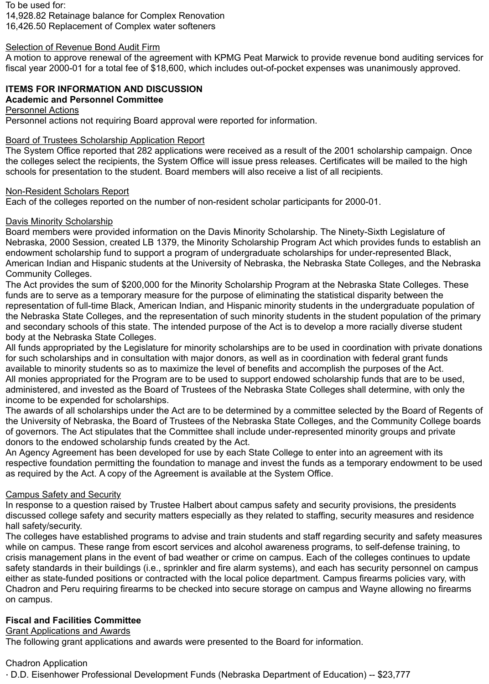To be used for:

14,928.82 Retainage balance for Complex Renovation

16,426.50 Replacement of Complex water softeners

## Selection of Revenue Bond Audit Firm

A motion to approve renewal of the agreement with KPMG Peat Marwick to provide revenue bond auditing services for fiscal year 2000-01 for a total fee of \$18,600, which includes out-of-pocket expenses was unanimously approved.

# **ITEMS FOR INFORMATION AND DISCUSSION**

## **Academic and Personnel Committee**

Personnel Actions

Personnel actions not requiring Board approval were reported for information.

# Board of Trustees Scholarship Application Report

The System Office reported that 282 applications were received as a result of the 2001 scholarship campaign. Once the colleges select the recipients, the System Office will issue press releases. Certificates will be mailed to the high schools for presentation to the student. Board members will also receive a list of all recipients.

## Non-Resident Scholars Report

Each of the colleges reported on the number of non-resident scholar participants for 2000-01.

## Davis Minority Scholarship

Board members were provided information on the Davis Minority Scholarship. The Ninety-Sixth Legislature of Nebraska, 2000 Session, created LB 1379, the Minority Scholarship Program Act which provides funds to establish an endowment scholarship fund to support a program of undergraduate scholarships for under-represented Black, American Indian and Hispanic students at the University of Nebraska, the Nebraska State Colleges, and the Nebraska Community Colleges.

The Act provides the sum of \$200,000 for the Minority Scholarship Program at the Nebraska State Colleges. These funds are to serve as a temporary measure for the purpose of eliminating the statistical disparity between the representation of full-time Black, American Indian, and Hispanic minority students in the undergraduate population of the Nebraska State Colleges, and the representation of such minority students in the student population of the primary and secondary schools of this state. The intended purpose of the Act is to develop a more racially diverse student body at the Nebraska State Colleges.

All funds appropriated by the Legislature for minority scholarships are to be used in coordination with private donations for such scholarships and in consultation with major donors, as well as in coordination with federal grant funds available to minority students so as to maximize the level of benefits and accomplish the purposes of the Act. All monies appropriated for the Program are to be used to support endowed scholarship funds that are to be used, administered, and invested as the Board of Trustees of the Nebraska State Colleges shall determine, with only the income to be expended for scholarships.

The awards of all scholarships under the Act are to be determined by a committee selected by the Board of Regents of the University of Nebraska, the Board of Trustees of the Nebraska State Colleges, and the Community College boards of governors. The Act stipulates that the Committee shall include under-represented minority groups and private donors to the endowed scholarship funds created by the Act.

An Agency Agreement has been developed for use by each State College to enter into an agreement with its respective foundation permitting the foundation to manage and invest the funds as a temporary endowment to be used as required by the Act. A copy of the Agreement is available at the System Office.

## Campus Safety and Security

In response to a question raised by Trustee Halbert about campus safety and security provisions, the presidents discussed college safety and security matters especially as they related to staffing, security measures and residence hall safety/security.

The colleges have established programs to advise and train students and staff regarding security and safety measures while on campus. These range from escort services and alcohol awareness programs, to self-defense training, to crisis management plans in the event of bad weather or crime on campus. Each of the colleges continues to update safety standards in their buildings (i.e., sprinkler and fire alarm systems), and each has security personnel on campus either as state-funded positions or contracted with the local police department. Campus firearms policies vary, with Chadron and Peru requiring firearms to be checked into secure storage on campus and Wayne allowing no firearms on campus.

# **Fiscal and Facilities Committee**

# Grant Applications and Awards

The following grant applications and awards were presented to the Board for information.

# Chadron Application

· D.D. Eisenhower Professional Development Funds (Nebraska Department of Education) -- \$23,777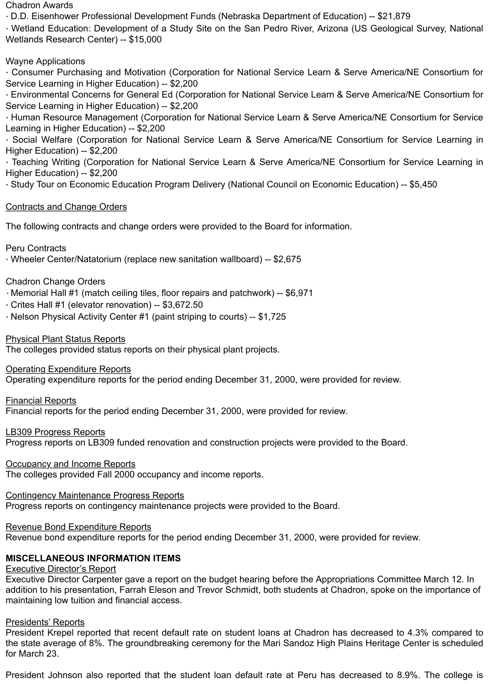#### Chadron Awards

· D.D. Eisenhower Professional Development Funds (Nebraska Department of Education) -- \$21,879

· Wetland Education: Development of a Study Site on the San Pedro River, Arizona (US Geological Survey, National Wetlands Research Center) -- \$15,000

## Wayne Applications

· Consumer Purchasing and Motivation (Corporation for National Service Learn & Serve America/NE Consortium for Service Learning in Higher Education) -- \$2,200

· Environmental Concerns for General Ed (Corporation for National Service Learn & Serve America/NE Consortium for Service Learning in Higher Education) -- \$2,200

· Human Resource Management (Corporation for National Service Learn & Serve America/NE Consortium for Service Learning in Higher Education) -- \$2,200

· Social Welfare (Corporation for National Service Learn & Serve America/NE Consortium for Service Learning in Higher Education) -- \$2,200

· Teaching Writing (Corporation for National Service Learn & Serve America/NE Consortium for Service Learning in Higher Education) -- \$2,200

· Study Tour on Economic Education Program Delivery (National Council on Economic Education) -- \$5,450

## Contracts and Change Orders

The following contracts and change orders were provided to the Board for information.

## Peru Contracts

· Wheeler Center/Natatorium (replace new sanitation wallboard) -- \$2,675

## Chadron Change Orders

- · Memorial Hall #1 (match ceiling tiles, floor repairs and patchwork) -- \$6,971
- · Crites Hall #1 (elevator renovation) -- \$3,672.50
- · Nelson Physical Activity Center #1 (paint striping to courts) -- \$1,725

## Physical Plant Status Reports

The colleges provided status reports on their physical plant projects.

## **Operating Expenditure Reports**

Operating expenditure reports for the period ending December 31, 2000, were provided for review.

## Financial Reports

Financial reports for the period ending December 31, 2000, were provided for review.

## LB309 Progress Reports

Progress reports on LB309 funded renovation and construction projects were provided to the Board.

## **Occupancy and Income Reports**

The colleges provided Fall 2000 occupancy and income reports.

## Contingency Maintenance Progress Reports

Progress reports on contingency maintenance projects were provided to the Board.

# Revenue Bond Expenditure Reports

Revenue bond expenditure reports for the period ending December 31, 2000, were provided for review.

# **MISCELLANEOUS INFORMATION ITEMS**

# **Executive Director's Report**

Executive Director Carpenter gave a report on the budget hearing before the Appropriations Committee March 12. In addition to his presentation, Farrah Eleson and Trevor Schmidt, both students at Chadron, spoke on the importance of maintaining low tuition and financial access.

## Presidents' Reports

President Krepel reported that recent default rate on student loans at Chadron has decreased to 4.3% compared to the state average of 8%. The groundbreaking ceremony for the Mari Sandoz High Plains Heritage Center is scheduled for March 23.

President Johnson also reported that the student loan default rate at Peru has decreased to 8.9%. The college is